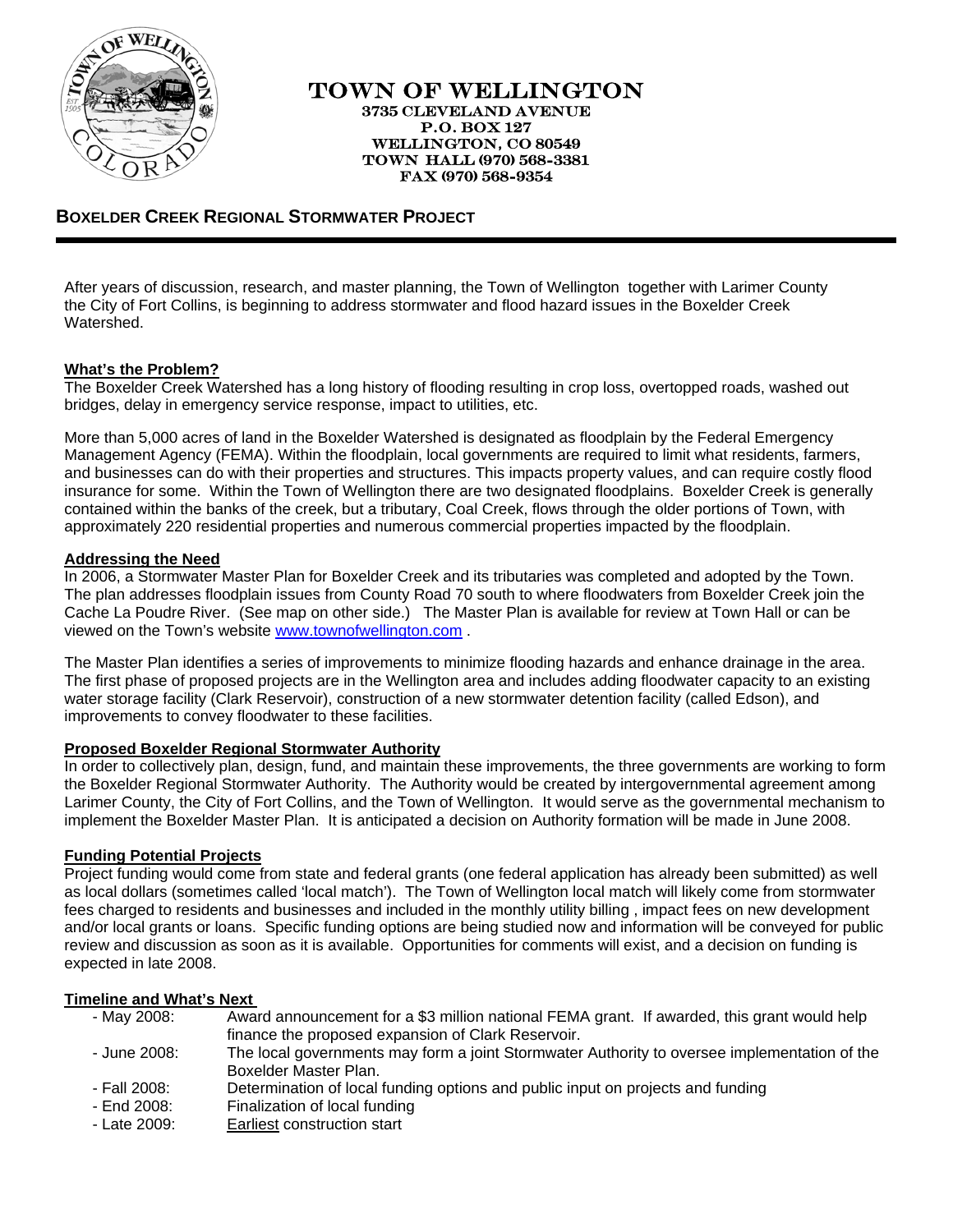

### TOWN OF WELLINGTON 3735 CLEVELAND AVENUE P.O. BOX 127 WELLINGTON, CO 80549 TOWN HALL (970) 568-3381 FAX (970) 568-9354

# **BOXELDER CREEK REGIONAL STORMWATER PROJECT**

After years of discussion, research, and master planning, the Town of Wellington together with Larimer County the City of Fort Collins, is beginning to address stormwater and flood hazard issues in the Boxelder Creek Watershed.

# **What's the Problem?**

The Boxelder Creek Watershed has a long history of flooding resulting in crop loss, overtopped roads, washed out bridges, delay in emergency service response, impact to utilities, etc.

More than 5,000 acres of land in the Boxelder Watershed is designated as floodplain by the Federal Emergency Management Agency (FEMA). Within the floodplain, local governments are required to limit what residents, farmers, and businesses can do with their properties and structures. This impacts property values, and can require costly flood insurance for some. Within the Town of Wellington there are two designated floodplains. Boxelder Creek is generally contained within the banks of the creek, but a tributary, Coal Creek, flows through the older portions of Town, with approximately 220 residential properties and numerous commercial properties impacted by the floodplain.

#### **Addressing the Need**

In 2006, a Stormwater Master Plan for Boxelder Creek and its tributaries was completed and adopted by the Town. The plan addresses floodplain issues from County Road 70 south to where floodwaters from Boxelder Creek join the Cache La Poudre River. (See map on other side.) The Master Plan is available for review at Town Hall or can be viewed on the Town's website [www.townofwellington.com](http://www.townofwellington.com/) .

The Master Plan identifies a series of improvements to minimize flooding hazards and enhance drainage in the area. The first phase of proposed projects are in the Wellington area and includes adding floodwater capacity to an existing water storage facility (Clark Reservoir), construction of a new stormwater detention facility (called Edson), and improvements to convey floodwater to these facilities.

# **Proposed Boxelder Regional Stormwater Authority**

In order to collectively plan, design, fund, and maintain these improvements, the three governments are working to form the Boxelder Regional Stormwater Authority. The Authority would be created by intergovernmental agreement among Larimer County, the City of Fort Collins, and the Town of Wellington. It would serve as the governmental mechanism to implement the Boxelder Master Plan. It is anticipated a decision on Authority formation will be made in June 2008.

# **Funding Potential Projects**

Project funding would come from state and federal grants (one federal application has already been submitted) as well as local dollars (sometimes called 'local match'). The Town of Wellington local match will likely come from stormwater fees charged to residents and businesses and included in the monthly utility billing , impact fees on new development and/or local grants or loans. Specific funding options are being studied now and information will be conveyed for public review and discussion as soon as it is available. Opportunities for comments will exist, and a decision on funding is expected in late 2008.

#### **Timeline and What's Next**

| - May 2008:  | Award announcement for a \$3 million national FEMA grant. If awarded, this grant would help  |
|--------------|----------------------------------------------------------------------------------------------|
|              | finance the proposed expansion of Clark Reservoir.                                           |
| - June 2008: | The local governments may form a joint Stormwater Authority to oversee implementation of the |
|              | Boxelder Master Plan.                                                                        |
| - Fall 2008: | Determination of local funding options and public input on projects and funding              |
| - End 2008:  | Finalization of local funding                                                                |

- Late 2009: Earliest construction start